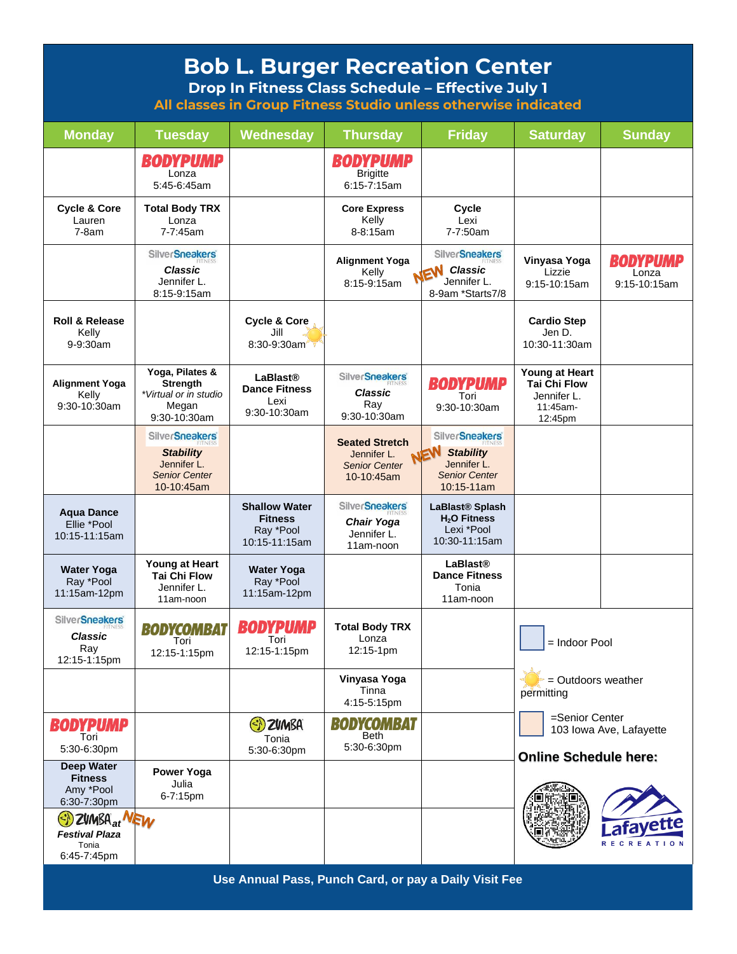| <b>Bob L. Burger Recreation Center</b><br>Drop In Fitness Class Schedule - Effective July 1<br>All classes in Group Fitness Studio unless otherwise indicated |                                                                                                |                                                                      |                                                                            |                                                                                                       |                                                                             |                                     |
|---------------------------------------------------------------------------------------------------------------------------------------------------------------|------------------------------------------------------------------------------------------------|----------------------------------------------------------------------|----------------------------------------------------------------------------|-------------------------------------------------------------------------------------------------------|-----------------------------------------------------------------------------|-------------------------------------|
| <b>Monday</b>                                                                                                                                                 | <b>Tuesday</b>                                                                                 | Wednesday                                                            | <b>Thursday</b>                                                            | <b>Friday</b>                                                                                         | <b>Saturday</b>                                                             | <b>Sunday</b>                       |
|                                                                                                                                                               | BODYPUMP<br>Lonza<br>5:45-6:45am                                                               |                                                                      | <b>BODYPUMP</b><br><b>Brigitte</b><br>$6:15 - 7:15$ am                     |                                                                                                       |                                                                             |                                     |
| <b>Cycle &amp; Core</b><br>Lauren<br>$7-8am$                                                                                                                  | <b>Total Body TRX</b><br>Lonza<br>7-7:45am                                                     |                                                                      | <b>Core Express</b><br>Kelly<br>8-8:15am                                   | Cycle<br>Lexi<br>7-7:50am                                                                             |                                                                             |                                     |
|                                                                                                                                                               | <b>SilverSneakers</b><br><b>Classic</b><br>Jennifer L.<br>8:15-9:15am                          |                                                                      | <b>Alignment Yoga</b><br>Kelly<br>8:15-9:15am                              | <b>SilverSneakers</b><br>EW Classic<br>Jennifer L.<br>8-9am *Starts7/8                                | Vinyasa Yoga<br>Lizzie<br>9:15-10:15am                                      | BODYPUMP<br>Lonza<br>$9:15-10:15am$ |
| <b>Roll &amp; Release</b><br>Kelly<br>9-9:30am                                                                                                                |                                                                                                | <b>Cycle &amp; Core</b><br>Jill<br>8:30-9:30am                       |                                                                            |                                                                                                       | <b>Cardio Step</b><br>Jen D.<br>10:30-11:30am                               |                                     |
| <b>Alignment Yoga</b><br>Kelly<br>9:30-10:30am                                                                                                                | Yoga, Pilates &<br>Strength<br>*Virtual or in studio<br>Megan<br>9:30-10:30am                  | <b>LaBlast®</b><br><b>Dance Fitness</b><br>Lexi<br>9:30-10:30am      | <b>SilverSneakers</b><br><b>Classic</b><br>Ray<br>9:30-10:30am             | <b>BODYPUMP</b><br>Tori<br>$9:30-10:30am$                                                             | Young at Heart<br><b>Tai Chi Flow</b><br>Jennifer L.<br>11:45am-<br>12:45pm |                                     |
|                                                                                                                                                               | <b>SilverSneakers</b><br><b>Stability</b><br>Jennifer L.<br><b>Senior Center</b><br>10-10:45am |                                                                      | <b>Seated Stretch</b><br>Jennifer L.<br><b>Senior Center</b><br>10-10:45am | <b>SilverSneakers</b><br>NEW<br><b>Stability</b><br>Jennifer L.<br><b>Senior Center</b><br>10:15-11am |                                                                             |                                     |
| <b>Aqua Dance</b><br>Ellie *Pool<br>10:15-11:15am                                                                                                             |                                                                                                | <b>Shallow Water</b><br><b>Fitness</b><br>Ray *Pool<br>10:15-11:15am | <b>SilverSneakers</b><br><b>Chair Yoga</b><br>Jennifer L.<br>11am-noon     | LaBlast <sup>®</sup> Splash<br>H <sub>2</sub> O Fitness<br>Lexi *Pool<br>10:30-11:15am                |                                                                             |                                     |
| <b>Water Yoga</b><br>Ray *Pool<br>11:15am-12pm                                                                                                                | Young at Heart<br><b>Tai Chi Flow</b><br>Jennifer L.<br>11am-noon                              | <b>Water Yoga</b><br>Ray *Pool<br>11:15am-12pm                       |                                                                            | <b>LaBlast®</b><br><b>Dance Fitness</b><br>Tonia<br>11am-noon                                         |                                                                             |                                     |
| <b>SilverSneakers</b><br><b>Classic</b><br>Ray<br>12:15-1:15pm                                                                                                | <b>BODYCOMBAT</b><br>Tori<br>12:15-1:15pm                                                      | BODYPUMP<br>Tori<br>12:15-1:15pm                                     | <b>Total Body TRX</b><br>Lonza<br>12:15-1pm                                |                                                                                                       | = Indoor Pool<br>$=$ Outdoors weather<br>permitting                         |                                     |
|                                                                                                                                                               |                                                                                                |                                                                      | Vinyasa Yoga<br>Tinna<br>4:15-5:15pm                                       |                                                                                                       |                                                                             |                                     |
| <b>BODYPUMP</b><br>Tori<br>5:30-6:30pm                                                                                                                        |                                                                                                | (S) ZVMBA<br>Tonia                                                   | <b>BODYCOMBAT</b><br><b>Beth</b><br>5:30-6:30pm                            |                                                                                                       | =Senior Center<br>103 Iowa Ave, Lafayette                                   |                                     |
| <b>Deep Water</b><br><b>Fitness</b>                                                                                                                           | Power Yoga                                                                                     | 5:30-6:30pm                                                          |                                                                            |                                                                                                       | <b>Online Schedule here:</b>                                                |                                     |
| Amy *Pool<br>6:30-7:30pm<br>SI ZUMBA <sub>at</sub> NEW<br><b>Festival Plaza</b><br>Tonia                                                                      | Julia<br>6-7:15pm                                                                              |                                                                      |                                                                            |                                                                                                       |                                                                             | <b>RECREATION</b>                   |
| 6:45-7:45pm                                                                                                                                                   |                                                                                                |                                                                      |                                                                            |                                                                                                       |                                                                             |                                     |

**Use Annual Pass, Punch Card, or pay a Daily Visit Fee**